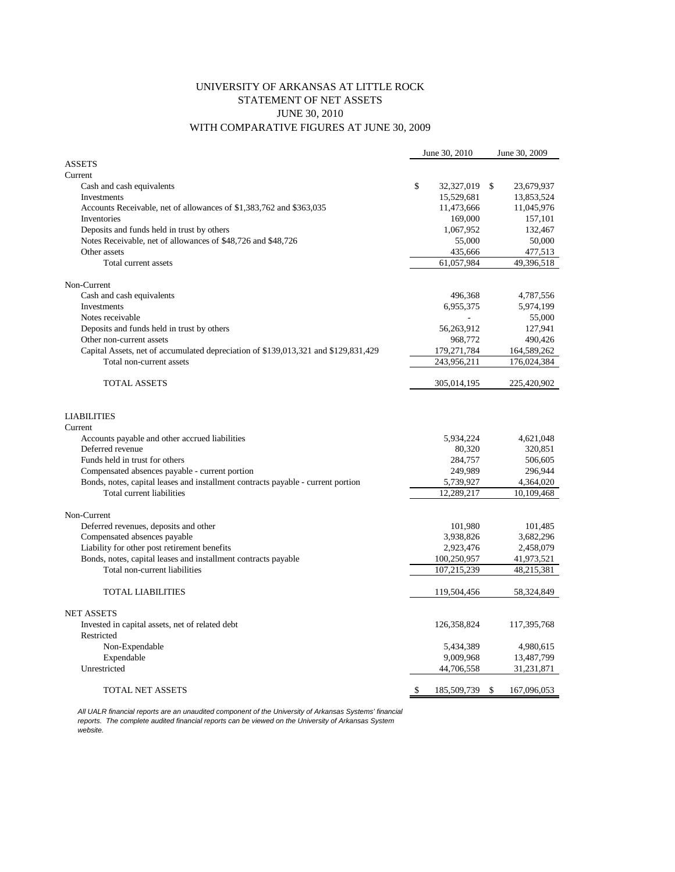## UNIVERSITY OF ARKANSAS AT LITTLE ROCK STATEMENT OF NET ASSETS JUNE 30, 2010 WITH COMPARATIVE FIGURES AT JUNE 30, 2009

|                                                                                    | June 30, 2010 |             | June 30, 2009     |  |
|------------------------------------------------------------------------------------|---------------|-------------|-------------------|--|
| <b>ASSETS</b>                                                                      |               |             |                   |  |
| Current                                                                            |               |             |                   |  |
| Cash and cash equivalents                                                          | \$            | 32,327,019  | \$<br>23,679,937  |  |
| Investments                                                                        |               | 15,529,681  | 13,853,524        |  |
| Accounts Receivable, net of allowances of \$1,383,762 and \$363,035                |               | 11,473,666  | 11,045,976        |  |
| Inventories                                                                        |               | 169,000     | 157,101           |  |
| Deposits and funds held in trust by others                                         |               | 1,067,952   | 132,467           |  |
| Notes Receivable, net of allowances of \$48,726 and \$48,726                       |               | 55,000      | 50,000            |  |
| Other assets                                                                       |               | 435,666     | 477,513           |  |
| Total current assets                                                               |               | 61,057,984  | 49,396,518        |  |
|                                                                                    |               |             |                   |  |
| Non-Current                                                                        |               |             |                   |  |
| Cash and cash equivalents                                                          |               | 496,368     | 4,787,556         |  |
| Investments                                                                        |               | 6,955,375   | 5,974,199         |  |
| Notes receivable                                                                   |               |             | 55,000            |  |
| Deposits and funds held in trust by others                                         |               | 56,263,912  | 127,941           |  |
| Other non-current assets                                                           |               | 968,772     | 490,426           |  |
| Capital Assets, net of accumulated depreciation of \$139,013,321 and \$129,831,429 |               | 179,271,784 | 164,589,262       |  |
| Total non-current assets                                                           |               | 243,956,211 | 176,024,384       |  |
| <b>TOTAL ASSETS</b>                                                                |               | 305,014,195 | 225,420,902       |  |
| <b>LIABILITIES</b>                                                                 |               |             |                   |  |
| Current                                                                            |               |             |                   |  |
| Accounts payable and other accrued liabilities                                     |               | 5,934,224   | 4,621,048         |  |
| Deferred revenue                                                                   |               | 80,320      | 320,851           |  |
| Funds held in trust for others                                                     |               | 284,757     | 506,605           |  |
| Compensated absences payable - current portion                                     |               | 249,989     | 296,944           |  |
| Bonds, notes, capital leases and installment contracts payable - current portion   |               | 5,739,927   | 4,364,020         |  |
| Total current liabilities                                                          |               | 12,289,217  | 10,109,468        |  |
| Non-Current                                                                        |               |             |                   |  |
| Deferred revenues, deposits and other                                              |               | 101,980     | 101,485           |  |
| Compensated absences payable                                                       |               | 3,938,826   | 3,682,296         |  |
| Liability for other post retirement benefits                                       |               | 2,923,476   | 2,458,079         |  |
| Bonds, notes, capital leases and installment contracts payable                     |               | 100,250,957 | 41,973,521        |  |
| Total non-current liabilities                                                      |               | 107,215,239 | 48,215,381        |  |
|                                                                                    |               |             |                   |  |
| <b>TOTAL LIABILITIES</b>                                                           |               | 119,504,456 | 58,324,849        |  |
| <b>NET ASSETS</b>                                                                  |               |             |                   |  |
| Invested in capital assets, net of related debt                                    |               | 126,358,824 | 117,395,768       |  |
| Restricted                                                                         |               |             |                   |  |
| Non-Expendable                                                                     |               | 5,434,389   | 4,980,615         |  |
| Expendable                                                                         |               | 9,009,968   | 13,487,799        |  |
| Unrestricted                                                                       |               | 44,706,558  | 31,231,871        |  |
| <b>TOTAL NET ASSETS</b>                                                            | \$            |             | \$<br>167,096,053 |  |
|                                                                                    |               | 185,509,739 |                   |  |

*All UALR financial reports are an unaudited component of the University of Arkansas Systems' financial reports. The complete audited financial reports can be viewed on the University of Arkansas System website.*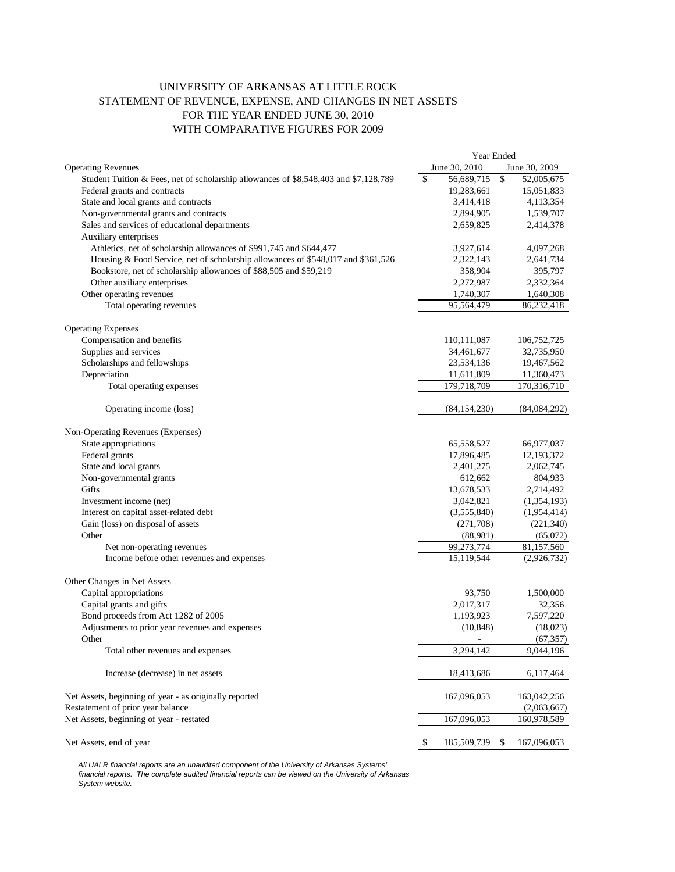## UNIVERSITY OF ARKANSAS AT LITTLE ROCK STATEMENT OF REVENUE, EXPENSE, AND CHANGES IN NET ASSETS FOR THE YEAR ENDED JUNE 30, 2010 WITH COMPARATIVE FIGURES FOR 2009

|                                                                                      | Year Ended |                |    |                |
|--------------------------------------------------------------------------------------|------------|----------------|----|----------------|
| <b>Operating Revenues</b>                                                            |            | June 30, 2010  |    | June 30, 2009  |
| Student Tuition & Fees, net of scholarship allowances of \$8,548,403 and \$7,128,789 | \$         | 56,689,715     | \$ | 52,005,675     |
| Federal grants and contracts                                                         |            | 19,283,661     |    | 15,051,833     |
| State and local grants and contracts                                                 |            | 3,414,418      |    | 4,113,354      |
| Non-governmental grants and contracts                                                |            | 2,894,905      |    | 1,539,707      |
| Sales and services of educational departments                                        |            | 2,659,825      |    | 2,414,378      |
| Auxiliary enterprises                                                                |            |                |    |                |
| Athletics, net of scholarship allowances of \$991,745 and \$644,477                  |            | 3,927,614      |    | 4,097,268      |
| Housing & Food Service, net of scholarship allowances of \$548,017 and \$361,526     |            | 2,322,143      |    | 2,641,734      |
| Bookstore, net of scholarship allowances of \$88,505 and \$59,219                    |            | 358,904        |    | 395,797        |
| Other auxiliary enterprises                                                          |            | 2,272,987      |    | 2,332,364      |
| Other operating revenues                                                             |            | 1,740,307      |    | 1,640,308      |
| Total operating revenues                                                             |            | 95,564,479     |    | 86,232,418     |
| <b>Operating Expenses</b>                                                            |            |                |    |                |
| Compensation and benefits                                                            |            | 110,111,087    |    | 106,752,725    |
| Supplies and services                                                                |            | 34,461,677     |    | 32,735,950     |
| Scholarships and fellowships                                                         |            | 23,534,136     |    | 19,467,562     |
| Depreciation                                                                         |            | 11,611,809     |    | 11,360,473     |
| Total operating expenses                                                             |            | 179,718,709    |    | 170,316,710    |
| Operating income (loss)                                                              |            | (84, 154, 230) |    | (84, 084, 292) |
| Non-Operating Revenues (Expenses)                                                    |            |                |    |                |
| State appropriations                                                                 |            | 65,558,527     |    | 66,977,037     |
| Federal grants                                                                       |            | 17,896,485     |    | 12,193,372     |
| State and local grants                                                               |            | 2,401,275      |    | 2,062,745      |
| Non-governmental grants                                                              |            | 612,662        |    | 804,933        |
| Gifts                                                                                |            | 13,678,533     |    | 2,714,492      |
| Investment income (net)                                                              |            | 3,042,821      |    | (1,354,193)    |
| Interest on capital asset-related debt                                               |            | (3,555,840)    |    | (1,954,414)    |
| Gain (loss) on disposal of assets                                                    |            | (271,708)      |    | (221, 340)     |
| Other                                                                                |            | (88,981)       |    | (65,072)       |
| Net non-operating revenues                                                           |            | 99,273,774     |    | 81,157,560     |
| Income before other revenues and expenses                                            |            | 15,119,544     |    | (2,926,732)    |
| Other Changes in Net Assets                                                          |            |                |    |                |
| Capital appropriations                                                               |            | 93,750         |    | 1,500,000      |
| Capital grants and gifts                                                             |            | 2,017,317      |    | 32,356         |
| Bond proceeds from Act 1282 of 2005                                                  |            | 1,193,923      |    | 7,597,220      |
| Adjustments to prior year revenues and expenses                                      |            | (10, 848)      |    | (18,023)       |
| Other                                                                                |            |                |    | (67, 357)      |
| Total other revenues and expenses                                                    |            | 3,294,142      |    | 9,044,196      |
| Increase (decrease) in net assets                                                    |            | 18,413,686     |    | 6,117,464      |
| Net Assets, beginning of year - as originally reported                               |            | 167,096,053    |    | 163,042,256    |
| Restatement of prior year balance                                                    |            |                |    | (2,063,667)    |
| Net Assets, beginning of year - restated                                             |            | 167,096,053    |    | 160,978,589    |
| Net Assets, end of year                                                              | \$         | 185,509,739    | \$ | 167,096,053    |

*All UALR financial reports are an unaudited component of the University of Arkansas Systems' financial reports. The complete audited financial reports can be viewed on the University of Arkansas System website.*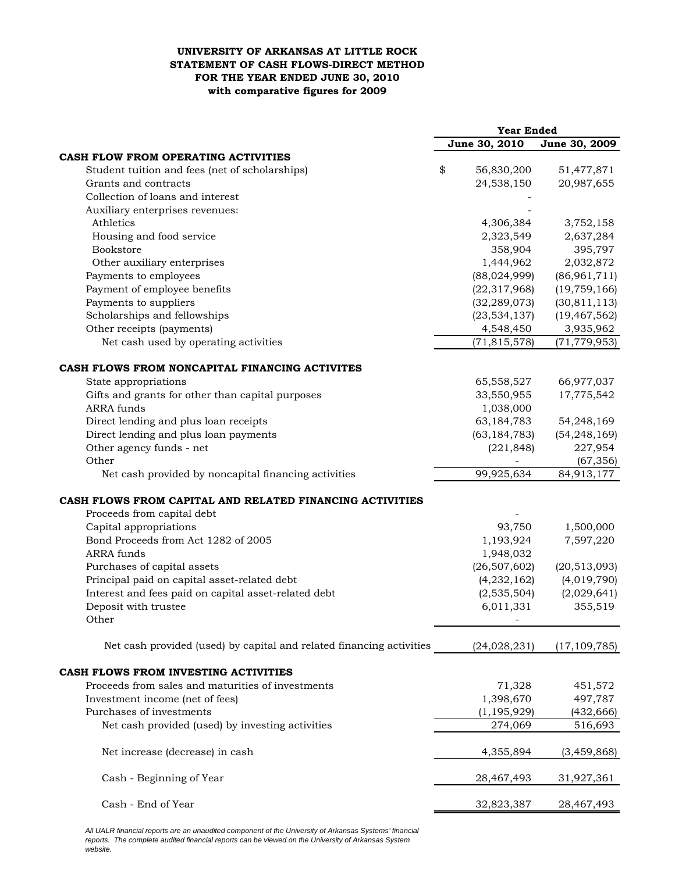## **UNIVERSITY OF ARKANSAS AT LITTLE ROCK STATEMENT OF CASH FLOWS-DIRECT METHOD FOR THE YEAR ENDED JUNE 30, 2010 with comparative figures for 2009**

|                                                                      | <b>Year Ended</b> |                |  |
|----------------------------------------------------------------------|-------------------|----------------|--|
|                                                                      | June 30, 2010     | June 30, 2009  |  |
| CASH FLOW FROM OPERATING ACTIVITIES                                  |                   |                |  |
| Student tuition and fees (net of scholarships)                       | \$<br>56,830,200  | 51,477,871     |  |
| Grants and contracts                                                 | 24,538,150        | 20,987,655     |  |
| Collection of loans and interest                                     |                   |                |  |
| Auxiliary enterprises revenues:                                      |                   |                |  |
| Athletics                                                            | 4,306,384         | 3,752,158      |  |
| Housing and food service                                             | 2,323,549         | 2,637,284      |  |
| Bookstore                                                            | 358,904           | 395,797        |  |
| Other auxiliary enterprises                                          | 1,444,962         | 2,032,872      |  |
| Payments to employees                                                | (88,024,999)      | (86,961,711)   |  |
| Payment of employee benefits                                         | (22, 317, 968)    | (19, 759, 166) |  |
| Payments to suppliers                                                | (32, 289, 073)    | (30, 811, 113) |  |
| Scholarships and fellowships                                         | (23, 534, 137)    | (19, 467, 562) |  |
| Other receipts (payments)                                            | 4,548,450         | 3,935,962      |  |
| Net cash used by operating activities                                | (71, 815, 578)    | (71, 779, 953) |  |
| CASH FLOWS FROM NONCAPITAL FINANCING ACTIVITES                       |                   |                |  |
| State appropriations                                                 | 65,558,527        | 66,977,037     |  |
| Gifts and grants for other than capital purposes                     | 33,550,955        | 17,775,542     |  |
| <b>ARRA</b> funds                                                    | 1,038,000         |                |  |
| Direct lending and plus loan receipts                                | 63,184,783        | 54,248,169     |  |
| Direct lending and plus loan payments                                | (63, 184, 783)    | (54, 248, 169) |  |
| Other agency funds - net                                             | (221, 848)        | 227,954        |  |
| Other                                                                |                   | (67, 356)      |  |
| Net cash provided by noncapital financing activities                 | 99,925,634        | 84,913,177     |  |
|                                                                      |                   |                |  |
| CASH FLOWS FROM CAPITAL AND RELATED FINANCING ACTIVITIES             |                   |                |  |
| Proceeds from capital debt                                           |                   |                |  |
| Capital appropriations                                               | 93,750            | 1,500,000      |  |
| Bond Proceeds from Act 1282 of 2005                                  | 1,193,924         | 7,597,220      |  |
| <b>ARRA</b> funds                                                    | 1,948,032         |                |  |
| Purchases of capital assets                                          | (26, 507, 602)    | (20, 513, 093) |  |
| Principal paid on capital asset-related debt                         | (4,232,162)       | (4,019,790)    |  |
| Interest and fees paid on capital asset-related debt                 | (2,535,504)       | (2,029,641)    |  |
| Deposit with trustee<br>Other                                        | 6,011,331         | 355,519        |  |
|                                                                      |                   |                |  |
| Net cash provided (used) by capital and related financing activities | (24,028,231)      | (17, 109, 785) |  |
| CASH FLOWS FROM INVESTING ACTIVITIES                                 |                   |                |  |
| Proceeds from sales and maturities of investments                    | 71,328            | 451,572        |  |
| Investment income (net of fees)                                      | 1,398,670         | 497,787        |  |
| Purchases of investments                                             | (1, 195, 929)     | (432, 666)     |  |
| Net cash provided (used) by investing activities                     | 274,069           | 516,693        |  |
| Net increase (decrease) in cash                                      | 4,355,894         | (3, 459, 868)  |  |
|                                                                      |                   |                |  |
| Cash - Beginning of Year                                             | 28,467,493        | 31,927,361     |  |
| Cash - End of Year                                                   | 32,823,387        | 28,467,493     |  |
|                                                                      |                   |                |  |

*All UALR financial reports are an unaudited component of the University of Arkansas Systems' financial reports. The complete audited financial reports can be viewed on the University of Arkansas System website.*